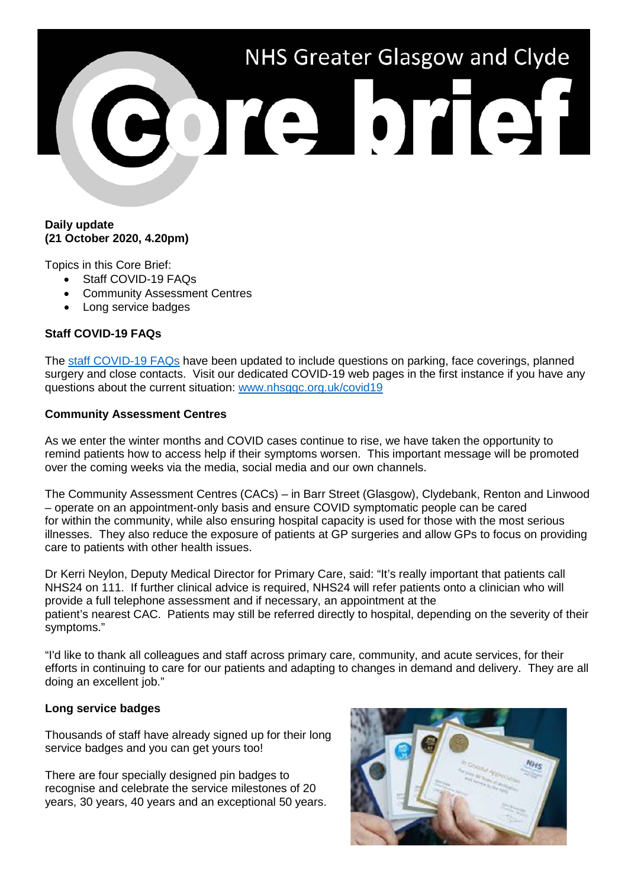# NHS Greater Glasgow and Clyde ore brief

### **Daily update (21 October 2020, 4.20pm)**

Topics in this Core Brief:

- Staff COVID-19 FAQs
- Community Assessment Centres
- Long service badges

## **Staff COVID-19 FAQs**

The [staff COVID-19 FAQs](https://www.nhsggc.org.uk/your-health/health-issues/covid-19-coronavirus/for-nhsggc-staff/faqs/) have been updated to include questions on parking, face coverings, planned surgery and close contacts. Visit our dedicated COVID-19 web pages in the first instance if you have any questions about the current situation: [www.nhsggc.org.uk/covid19](http://www.nhsggc.org.uk/covid19)

### **Community Assessment Centres**

As we enter the winter months and COVID cases continue to rise, we have taken the opportunity to remind patients how to access help if their symptoms worsen. This important message will be promoted over the coming weeks via the media, social media and our own channels.

The Community Assessment Centres (CACs) – in Barr Street (Glasgow), Clydebank, Renton and Linwood – operate on an appointment-only basis and ensure COVID symptomatic people can be cared for within the community, while also ensuring hospital capacity is used for those with the most serious illnesses. They also reduce the exposure of patients at GP surgeries and allow GPs to focus on providing care to patients with other health issues.

Dr Kerri Neylon, Deputy Medical Director for Primary Care, said: "It's really important that patients call NHS24 on 111. If further clinical advice is required, NHS24 will refer patients onto a clinician who will provide a full telephone assessment and if necessary, an appointment at the patient's nearest CAC. Patients may still be referred directly to hospital, depending on the severity of their symptoms."

"I'd like to thank all colleagues and staff across primary care, community, and acute services, for their efforts in continuing to care for our patients and adapting to changes in demand and delivery. They are all doing an excellent job."

### **Long service badges**

Thousands of staff have already signed up for their long service badges and you can get yours too!

There are four specially designed pin badges to recognise and celebrate the service milestones of 20 years, 30 years, 40 years and an exceptional 50 years.

| ٦ |                         |                       |
|---|-------------------------|-----------------------|
|   | <b>In GROUND ACTION</b> | <b>NH<sub>S</sub></b> |
|   |                         |                       |